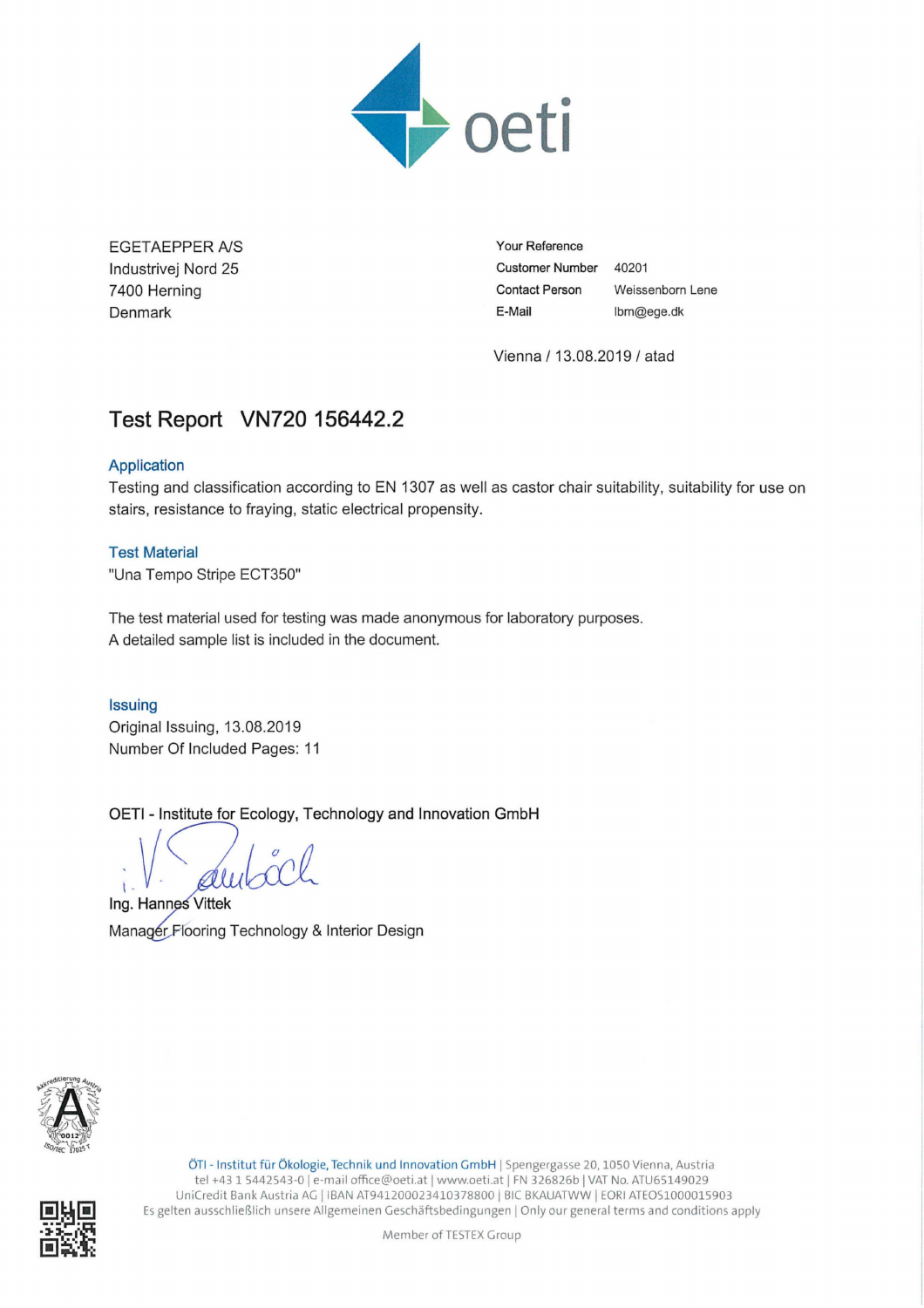

EGETAEPPER *NS* lndustrivej Nord 25 7400 Herning Denmark

**Your Reference Customer Number** 40201 **Contact Person** Weissenborn Lene **E-Mail** lbm@ege.dk

Vienna / 13 08.2019 / atad

# **Test Report VN720 156442.2**

## Application

Testing and classification according to EN 1307 as well as castor chair suitability, suitability for use on stairs, resistance to fraying, static electrical propensity

## Test Material

"Una Tempo Stripe ECT350"

The test material used for testing was made anonymous for laboratory purposes. A detailed sample list is included in the document.

## **Issuing**

Original Issuing, 13.08.2019 Number Of Included Pages: <sup>11</sup>

OETI - Institute for Ecology, Technology and Innovation GmbH

Issuing<br>Original Issuing, 13.<br>Number Of Included<br>OETI - Institute for E<br>Ing. Hannes Vittek **Pages: 11**<br>Ecology, Te

M anagérFlooring Te chnology & Interior Design



ÖTI- Institut für Ökologie, Technik und Innovation GmbH <sup>I</sup> Spengergasse 20, <sup>1050</sup> Vienna, Austria tel +43 <sup>1</sup> 5442543-0/ e-mail office@oeti.at ] www.oeti.at [ FN 326826b [VAT No. ATU65149029 UniCredit Bank Austria AG | IBAN AT941200023410378800 | BIC BKAUATWW | EORI ATEOS1000015903 Es gelten ausschließlich unsere Allgemeinen Geschäftsbedingungen <sup>I</sup> Only our general terms and conditions apply

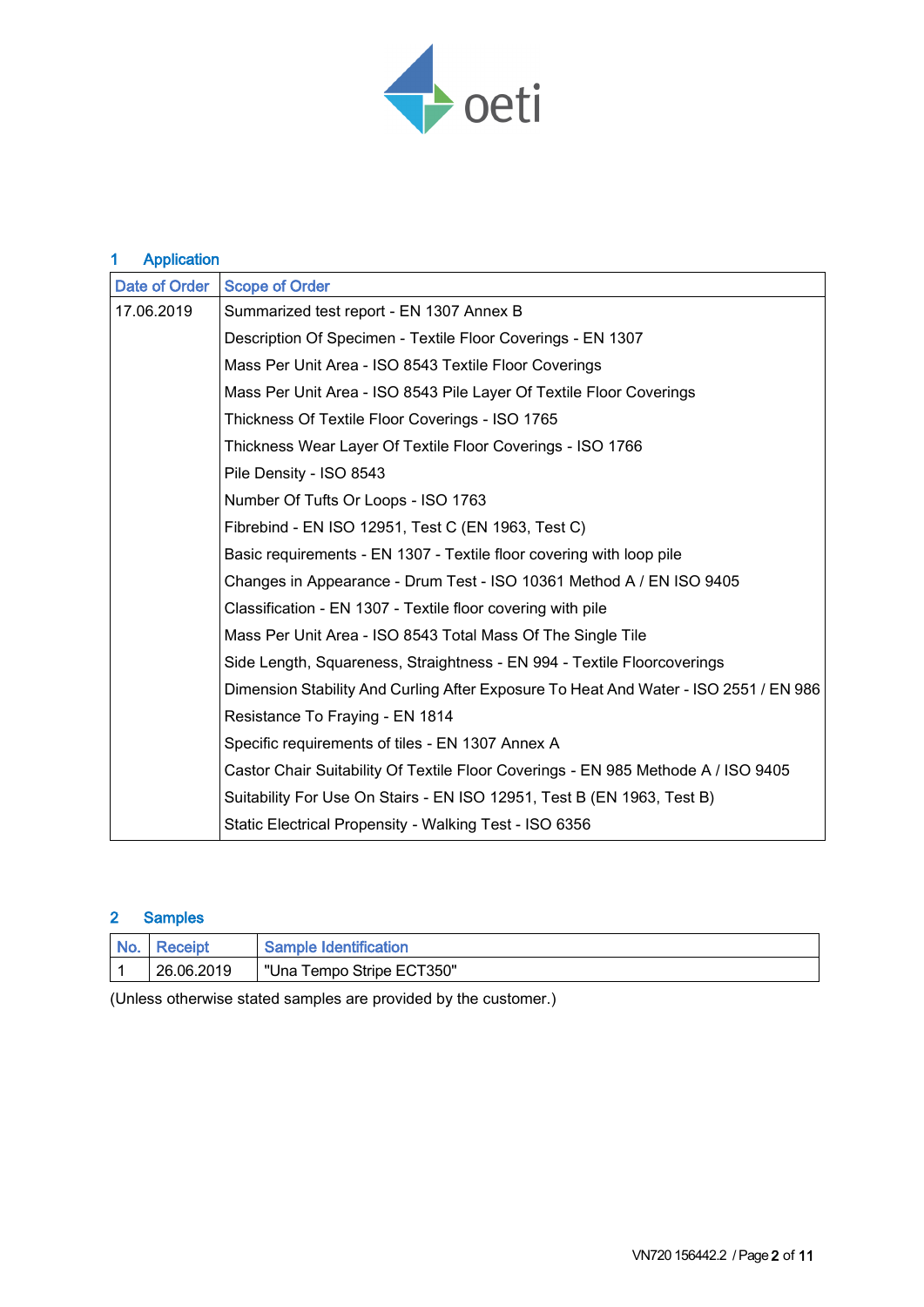

| <b>Application</b><br>1 |                                                                                      |  |
|-------------------------|--------------------------------------------------------------------------------------|--|
| <b>Date of Order</b>    | <b>Scope of Order</b>                                                                |  |
| 17.06.2019              | Summarized test report - EN 1307 Annex B                                             |  |
|                         | Description Of Specimen - Textile Floor Coverings - EN 1307                          |  |
|                         | Mass Per Unit Area - ISO 8543 Textile Floor Coverings                                |  |
|                         | Mass Per Unit Area - ISO 8543 Pile Layer Of Textile Floor Coverings                  |  |
|                         | Thickness Of Textile Floor Coverings - ISO 1765                                      |  |
|                         | Thickness Wear Layer Of Textile Floor Coverings - ISO 1766                           |  |
|                         | Pile Density - ISO 8543                                                              |  |
|                         | Number Of Tufts Or Loops - ISO 1763                                                  |  |
|                         | Fibrebind - EN ISO 12951, Test C (EN 1963, Test C)                                   |  |
|                         | Basic requirements - EN 1307 - Textile floor covering with loop pile                 |  |
|                         | Changes in Appearance - Drum Test - ISO 10361 Method A / EN ISO 9405                 |  |
|                         | Classification - EN 1307 - Textile floor covering with pile                          |  |
|                         | Mass Per Unit Area - ISO 8543 Total Mass Of The Single Tile                          |  |
|                         | Side Length, Squareness, Straightness - EN 994 - Textile Floorcoverings              |  |
|                         | Dimension Stability And Curling After Exposure To Heat And Water - ISO 2551 / EN 986 |  |
|                         | Resistance To Fraying - EN 1814                                                      |  |
|                         | Specific requirements of tiles - EN 1307 Annex A                                     |  |
|                         | Castor Chair Suitability Of Textile Floor Coverings - EN 985 Methode A / ISO 9405    |  |
|                         | Suitability For Use On Stairs - EN ISO 12951, Test B (EN 1963, Test B)               |  |
|                         | Static Electrical Propensity - Walking Test - ISO 6356                               |  |

## 2 Samples

| <b>No</b> | Receipt    | Sample Identification     |
|-----------|------------|---------------------------|
|           | 26.06.2019 | "Una Tempo Stripe ECT350" |

(Unless otherwise stated samples are provided by the customer.)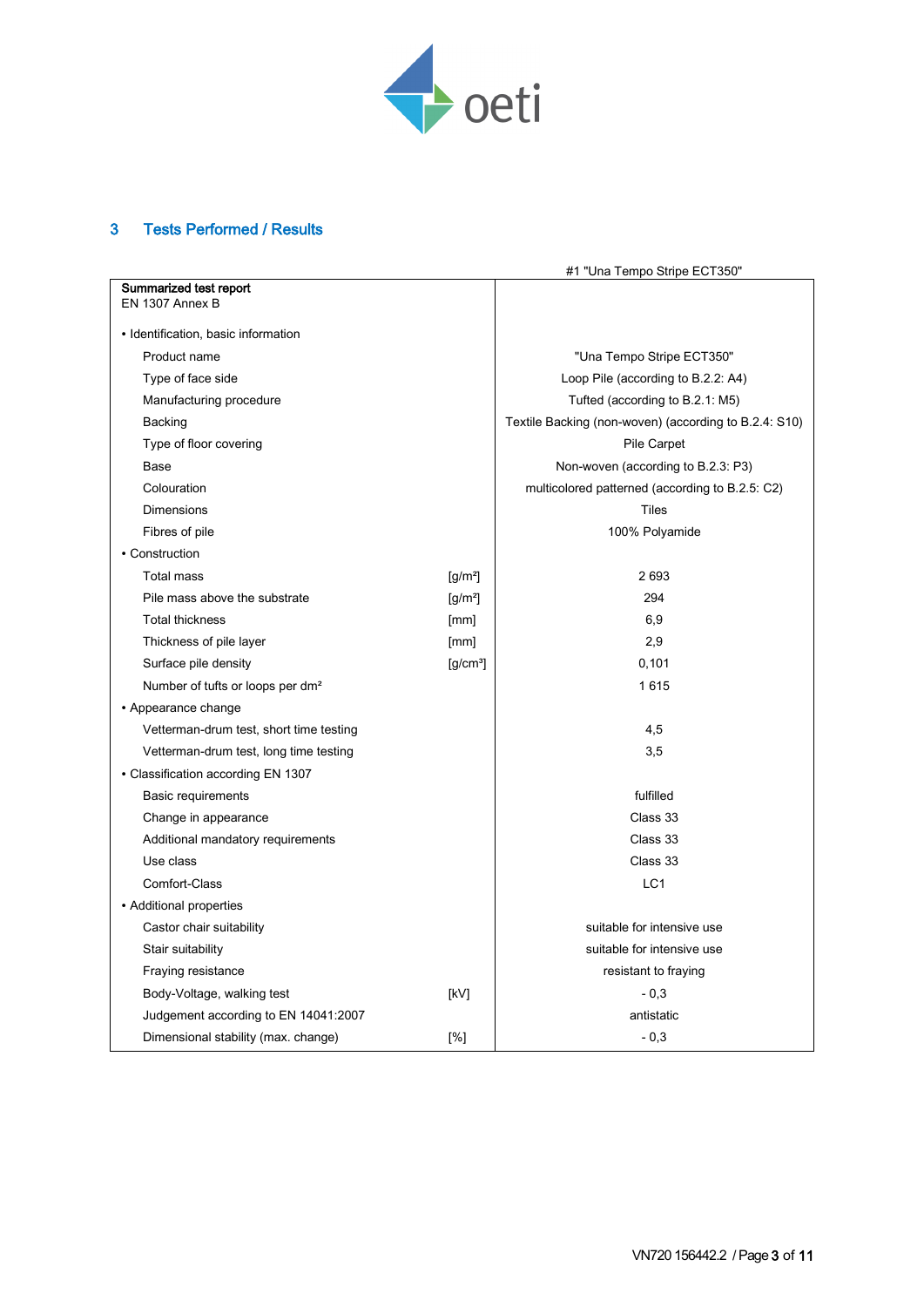

## 3 Tests Performed / Results

|                                              |                      | #1 "Una Tempo Stripe ECT350"                          |
|----------------------------------------------|----------------------|-------------------------------------------------------|
| Summarized test report                       |                      |                                                       |
| EN 1307 Annex B                              |                      |                                                       |
| · Identification, basic information          |                      |                                                       |
| Product name                                 |                      | "Una Tempo Stripe ECT350"                             |
| Type of face side                            |                      | Loop Pile (according to B.2.2: A4)                    |
| Manufacturing procedure                      |                      | Tufted (according to B.2.1: M5)                       |
| Backing                                      |                      | Textile Backing (non-woven) (according to B.2.4: S10) |
| Type of floor covering                       |                      | Pile Carpet                                           |
| Base                                         |                      | Non-woven (according to B.2.3: P3)                    |
| Colouration                                  |                      | multicolored patterned (according to B.2.5: C2)       |
| Dimensions                                   |                      | Tiles                                                 |
| Fibres of pile                               |                      | 100% Polyamide                                        |
| • Construction                               |                      |                                                       |
| Total mass                                   | $[g/m^2]$            | 2 6 9 3                                               |
| Pile mass above the substrate                | $[g/m^2]$            | 294                                                   |
| <b>Total thickness</b>                       | [mm]                 | 6,9                                                   |
| Thickness of pile layer                      | [mm]                 | 2,9                                                   |
| Surface pile density                         | [g/cm <sup>3</sup> ] | 0,101                                                 |
| Number of tufts or loops per dm <sup>2</sup> |                      | 1615                                                  |
| • Appearance change                          |                      |                                                       |
| Vetterman-drum test, short time testing      |                      | 4,5                                                   |
| Vetterman-drum test, long time testing       |                      | 3,5                                                   |
| • Classification according EN 1307           |                      |                                                       |
| <b>Basic requirements</b>                    |                      | fulfilled                                             |
| Change in appearance                         |                      | Class 33                                              |
| Additional mandatory requirements            |                      | Class 33                                              |
| Use class                                    |                      | Class 33                                              |
| Comfort-Class                                |                      | LC <sub>1</sub>                                       |
| • Additional properties                      |                      |                                                       |
| Castor chair suitability                     |                      | suitable for intensive use                            |
| Stair suitability                            |                      | suitable for intensive use                            |
| Fraying resistance                           |                      | resistant to fraying                                  |
| Body-Voltage, walking test                   | [kV]                 | $-0,3$                                                |
| Judgement according to EN 14041:2007         |                      | antistatic                                            |
| Dimensional stability (max. change)          | [%]                  | $-0.3$                                                |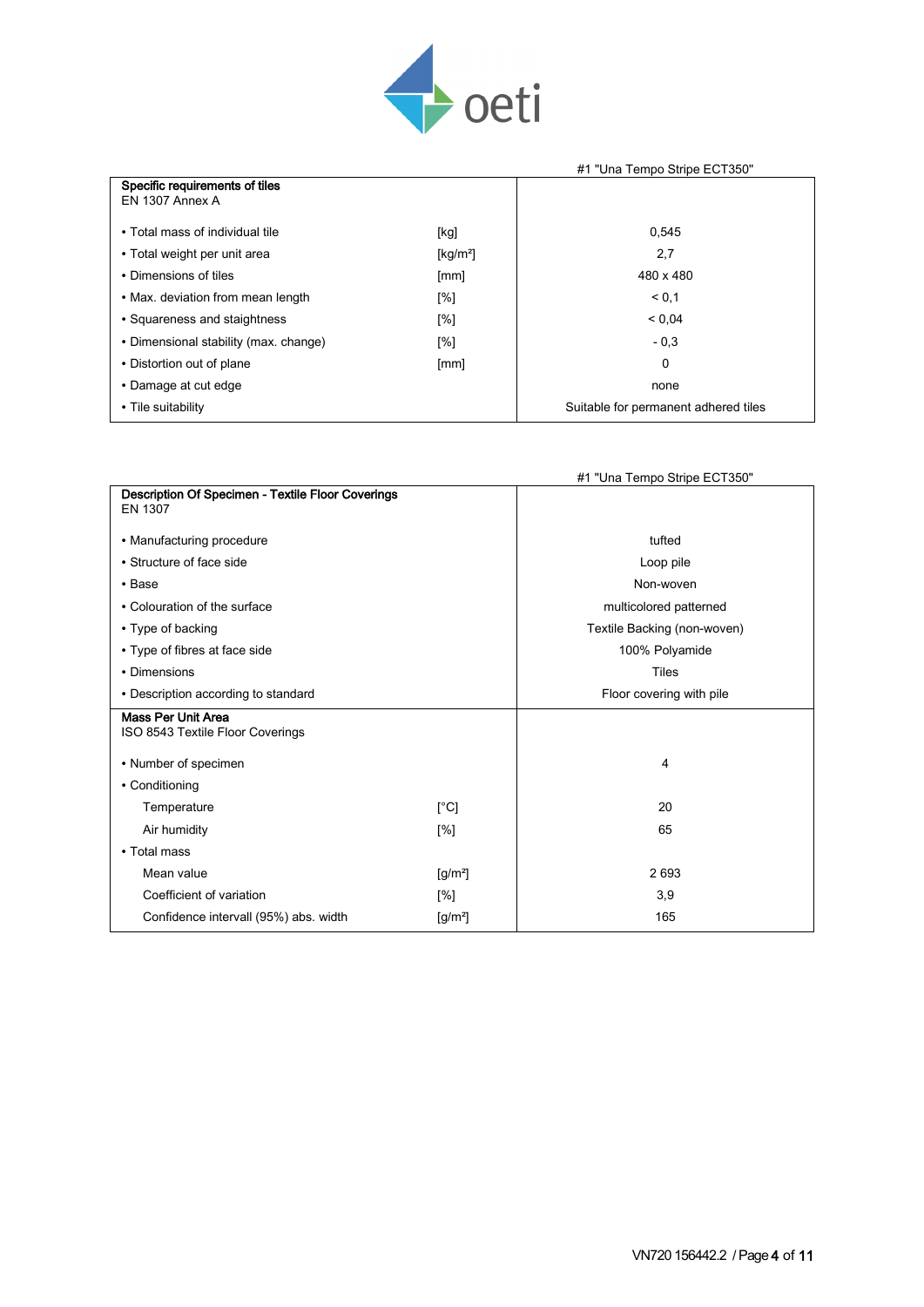

|                                       |                                             | #1 "Una Tempo Stripe ECT350"         |
|---------------------------------------|---------------------------------------------|--------------------------------------|
| Specific requirements of tiles        |                                             |                                      |
| EN 1307 Annex A                       |                                             |                                      |
| • Total mass of individual tile       | [kg]                                        | 0,545                                |
| • Total weight per unit area          | $\left[\frac{\text{kg}}{\text{m}^2}\right]$ | 2,7                                  |
| • Dimensions of tiles                 | [mm]                                        | 480 x 480                            |
| • Max. deviation from mean length     | [%]                                         | < 0.1                                |
| • Squareness and staightness          | [%]                                         | < 0.04                               |
| • Dimensional stability (max. change) | [%]                                         | $-0,3$                               |
| • Distortion out of plane             | [mm]                                        | 0                                    |
| • Damage at cut edge                  |                                             | none                                 |
| • Tile suitability                    |                                             | Suitable for permanent adhered tiles |

|                                                               |           | #1 "Una Tempo Stripe ECT350" |
|---------------------------------------------------------------|-----------|------------------------------|
| Description Of Specimen - Textile Floor Coverings             |           |                              |
| EN 1307                                                       |           |                              |
| • Manufacturing procedure                                     |           | tufted                       |
| • Structure of face side                                      |           | Loop pile                    |
| $\cdot$ Base                                                  |           | Non-woven                    |
| • Colouration of the surface                                  |           | multicolored patterned       |
| • Type of backing                                             |           | Textile Backing (non-woven)  |
| • Type of fibres at face side                                 |           | 100% Polyamide               |
| • Dimensions                                                  |           | <b>Tiles</b>                 |
| • Description according to standard                           |           | Floor covering with pile     |
| <b>Mass Per Unit Area</b><br>ISO 8543 Textile Floor Coverings |           |                              |
| • Number of specimen                                          |           | 4                            |
| • Conditioning                                                |           |                              |
| Temperature                                                   | [°C]      | 20                           |
| Air humidity                                                  | [%]       | 65                           |
| • Total mass                                                  |           |                              |
| Mean value                                                    | $[g/m^2]$ | 2693                         |
| Coefficient of variation                                      | [%]       | 3,9                          |
| Confidence intervall (95%) abs. width                         | $[g/m^2]$ | 165                          |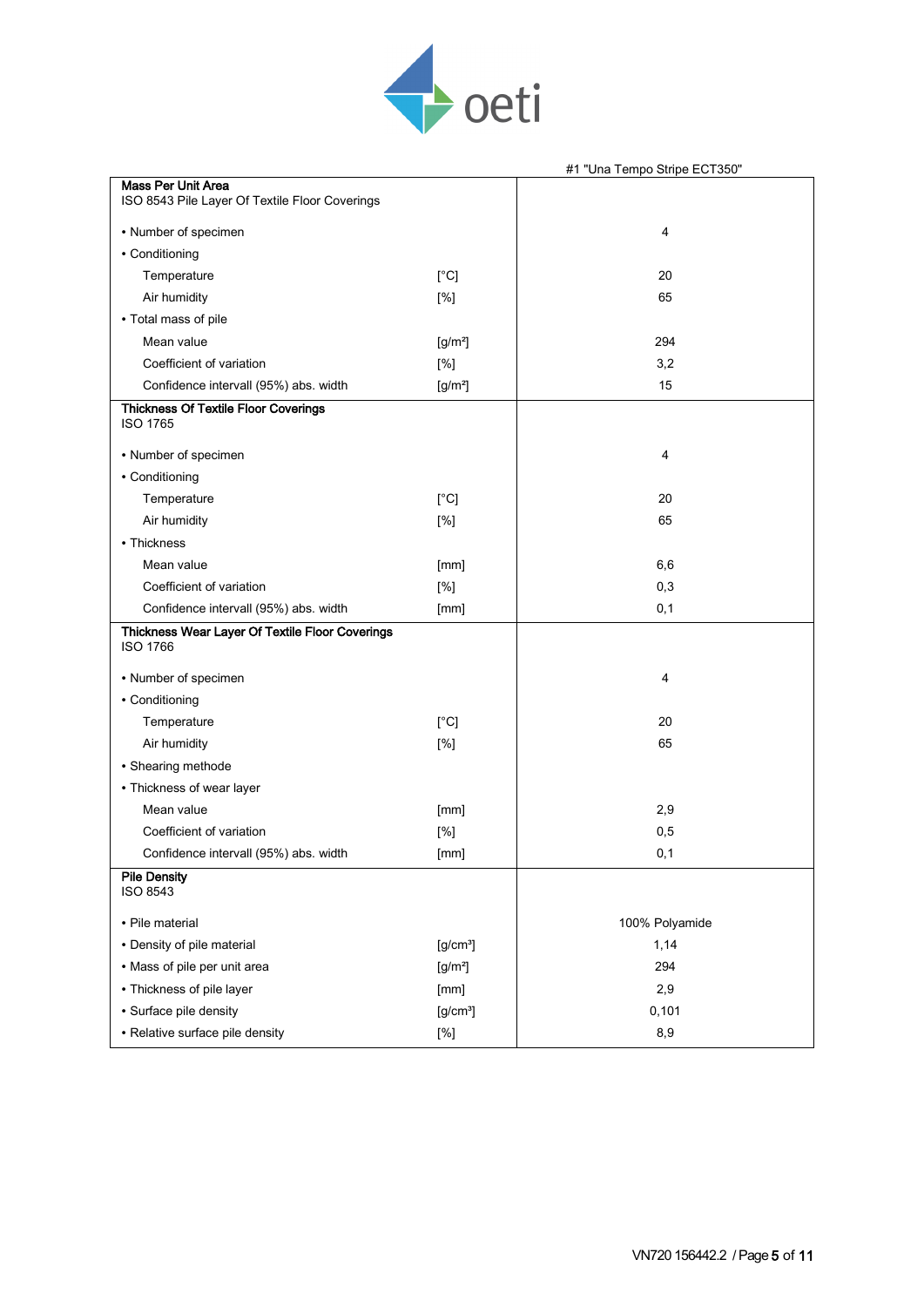

|                                                                             |                      | #1 "Una Tempo Stripe ECT350" |
|-----------------------------------------------------------------------------|----------------------|------------------------------|
| <b>Mass Per Unit Area</b><br>ISO 8543 Pile Layer Of Textile Floor Coverings |                      |                              |
| • Number of specimen                                                        |                      | 4                            |
| • Conditioning                                                              |                      |                              |
| Temperature                                                                 | [°C]                 | 20                           |
| Air humidity                                                                | [%]                  | 65                           |
| • Total mass of pile                                                        |                      |                              |
| Mean value                                                                  | $[g/m^2]$            | 294                          |
| Coefficient of variation                                                    | [%]                  | 3,2                          |
| Confidence intervall (95%) abs. width                                       | $[g/m^2]$            | 15                           |
| <b>Thickness Of Textile Floor Coverings</b><br><b>ISO 1765</b>              |                      |                              |
| • Number of specimen                                                        |                      | 4                            |
| • Conditioning                                                              |                      |                              |
| Temperature                                                                 | [°C]                 | 20                           |
| Air humidity                                                                | [%]                  | 65                           |
| • Thickness                                                                 |                      |                              |
| Mean value                                                                  | [mm]                 | 6,6                          |
| Coefficient of variation                                                    | [%]                  | 0,3                          |
| Confidence intervall (95%) abs. width                                       | [mm]                 | 0,1                          |
| Thickness Wear Layer Of Textile Floor Coverings<br><b>ISO 1766</b>          |                      |                              |
| • Number of specimen                                                        |                      | 4                            |
| • Conditioning                                                              |                      |                              |
| Temperature                                                                 | [°C]                 | 20                           |
| Air humidity                                                                | [%]                  | 65                           |
| • Shearing methode                                                          |                      |                              |
| • Thickness of wear layer                                                   |                      |                              |
| Mean value                                                                  | [mm]                 | 2,9                          |
| Coefficient of variation                                                    | [%]                  | 0,5                          |
| Confidence intervall (95%) abs. width                                       | [mm]                 | 0,1                          |
| <b>Pile Density</b><br><b>ISO 8543</b>                                      |                      |                              |
| · Pile material                                                             |                      | 100% Polyamide               |
| • Density of pile material                                                  | [g/cm <sup>3</sup> ] | 1,14                         |
| • Mass of pile per unit area                                                | $[g/m^2]$            | 294                          |
| • Thickness of pile layer                                                   | [mm]                 | 2,9                          |
| · Surface pile density                                                      | [g/cm <sup>3</sup> ] | 0,101                        |
| • Relative surface pile density                                             | [%]                  | 8,9                          |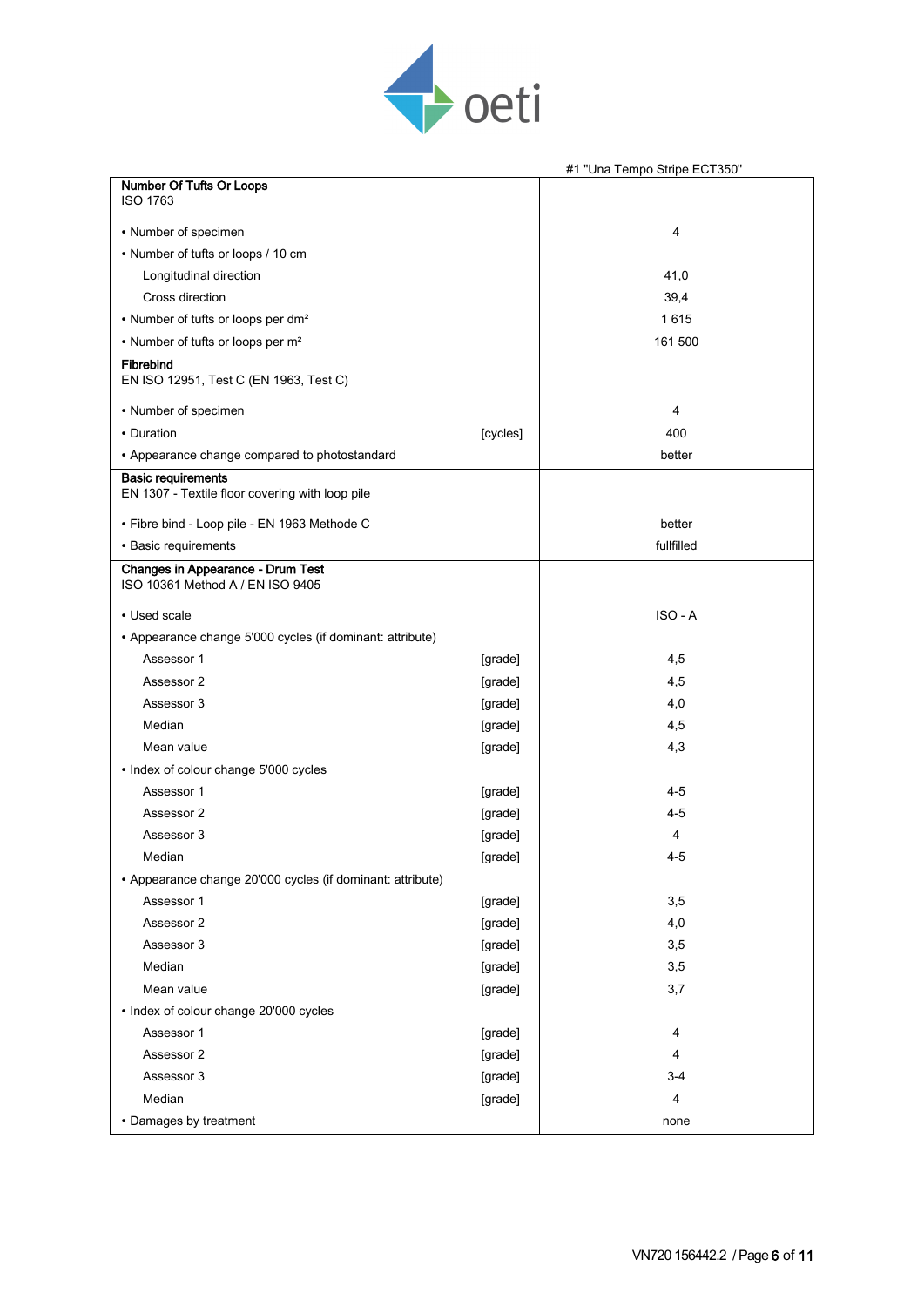

|                                                                              |          | #1 "Una Tempo Stripe ECT350" |
|------------------------------------------------------------------------------|----------|------------------------------|
| Number Of Tufts Or Loops<br><b>ISO 1763</b>                                  |          |                              |
| • Number of specimen                                                         |          | 4                            |
| • Number of tufts or loops / 10 cm                                           |          |                              |
| Longitudinal direction                                                       |          | 41,0                         |
| Cross direction                                                              |          | 39,4                         |
| • Number of tufts or loops per dm <sup>2</sup>                               |          | 1615                         |
| • Number of tufts or loops per m <sup>2</sup>                                |          | 161 500                      |
| Fibrebind<br>EN ISO 12951, Test C (EN 1963, Test C)                          |          |                              |
| • Number of specimen                                                         |          | 4                            |
| • Duration                                                                   | [cycles] | 400                          |
| • Appearance change compared to photostandard                                |          | better                       |
| <b>Basic requirements</b><br>EN 1307 - Textile floor covering with loop pile |          |                              |
| • Fibre bind - Loop pile - EN 1963 Methode C                                 |          | better                       |
| • Basic requirements                                                         |          | fullfilled                   |
| <b>Changes in Appearance - Drum Test</b><br>ISO 10361 Method A / EN ISO 9405 |          |                              |
| • Used scale                                                                 |          | ISO - A                      |
| • Appearance change 5'000 cycles (if dominant: attribute)                    |          |                              |
| Assessor 1                                                                   | [grade]  | 4,5                          |
| Assessor 2                                                                   | [grade]  | 4,5                          |
| Assessor 3                                                                   | [grade]  | 4,0                          |
| Median                                                                       | [grade]  | 4,5                          |
| Mean value                                                                   | [grade]  | 4,3                          |
| • Index of colour change 5'000 cycles                                        |          |                              |
| Assessor 1                                                                   | [grade]  | $4 - 5$                      |
| Assessor 2                                                                   | [grade]  | $4 - 5$                      |
| Assessor 3                                                                   | [grade]  | 4                            |
| Median                                                                       | [grade]  | $4 - 5$                      |
| • Appearance change 20'000 cycles (if dominant: attribute)                   |          |                              |
| Assessor 1                                                                   | [grade]  | 3,5                          |
| Assessor 2                                                                   | [grade]  | 4,0                          |
| Assessor 3                                                                   | [grade]  | 3,5                          |
| Median                                                                       | [grade]  | 3,5                          |
| Mean value                                                                   | [grade]  | 3,7                          |
| • Index of colour change 20'000 cycles                                       |          |                              |
| Assessor 1                                                                   | [grade]  | 4                            |
| Assessor 2                                                                   | [grade]  | 4                            |
| Assessor 3                                                                   | [grade]  | $3 - 4$                      |
| Median                                                                       | [grade]  | 4                            |
| • Damages by treatment                                                       |          | none                         |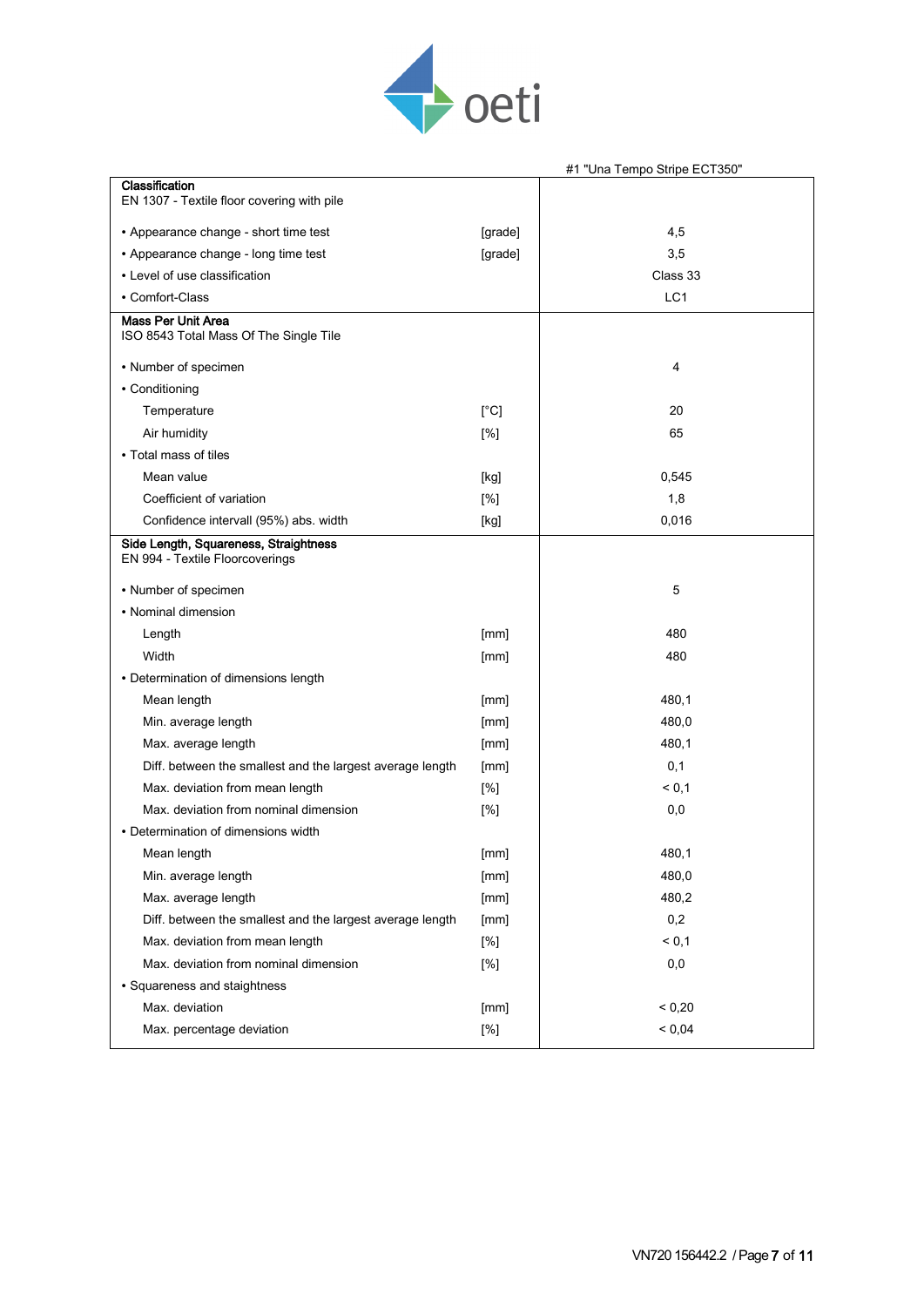

|                                                                          |         | #1 "Una Tempo Stripe ECT350" |
|--------------------------------------------------------------------------|---------|------------------------------|
| Classification                                                           |         |                              |
| EN 1307 - Textile floor covering with pile                               |         |                              |
| • Appearance change - short time test                                    | [grade] | 4,5                          |
| • Appearance change - long time test                                     | [grade] | 3,5                          |
| • Level of use classification                                            |         | Class 33                     |
| • Comfort-Class                                                          |         | LC1                          |
| <b>Mass Per Unit Area</b><br>ISO 8543 Total Mass Of The Single Tile      |         |                              |
| • Number of specimen                                                     |         | 4                            |
| • Conditioning                                                           |         |                              |
| Temperature                                                              | [°C]    | 20                           |
| Air humidity                                                             | [%]     | 65                           |
| • Total mass of tiles                                                    |         |                              |
| Mean value                                                               | [kg]    | 0,545                        |
| Coefficient of variation                                                 | [%]     | 1,8                          |
| Confidence intervall (95%) abs. width                                    | [kg]    | 0,016                        |
| Side Length, Squareness, Straightness<br>EN 994 - Textile Floorcoverings |         |                              |
| • Number of specimen                                                     |         | 5                            |
| • Nominal dimension                                                      |         |                              |
| Length                                                                   | [mm]    | 480                          |
| Width                                                                    | [mm]    | 480                          |
| • Determination of dimensions length                                     |         |                              |
| Mean length                                                              | [mm]    | 480,1                        |
| Min. average length                                                      | [mm]    | 480,0                        |
| Max. average length                                                      | [mm]    | 480,1                        |
| Diff. between the smallest and the largest average length                | [mm]    | 0,1                          |
| Max. deviation from mean length                                          | [%]     | < 0,1                        |
| Max. deviation from nominal dimension                                    | [%]     | 0,0                          |
| • Determination of dimensions width                                      |         |                              |
| Mean length                                                              | [mm]    | 480,1                        |
| Min. average length                                                      | [mm]    | 480,0                        |
| Max. average length                                                      | [mm]    | 480,2                        |
| Diff. between the smallest and the largest average length                | [mm]    | 0,2                          |
| Max. deviation from mean length                                          | [%]     | < 0,1                        |
| Max. deviation from nominal dimension                                    | [%]     | 0,0                          |
| • Squareness and staightness                                             |         |                              |
| Max. deviation                                                           | [mm]    | < 0,20                       |
| Max. percentage deviation                                                | $[\%]$  | < 0,04                       |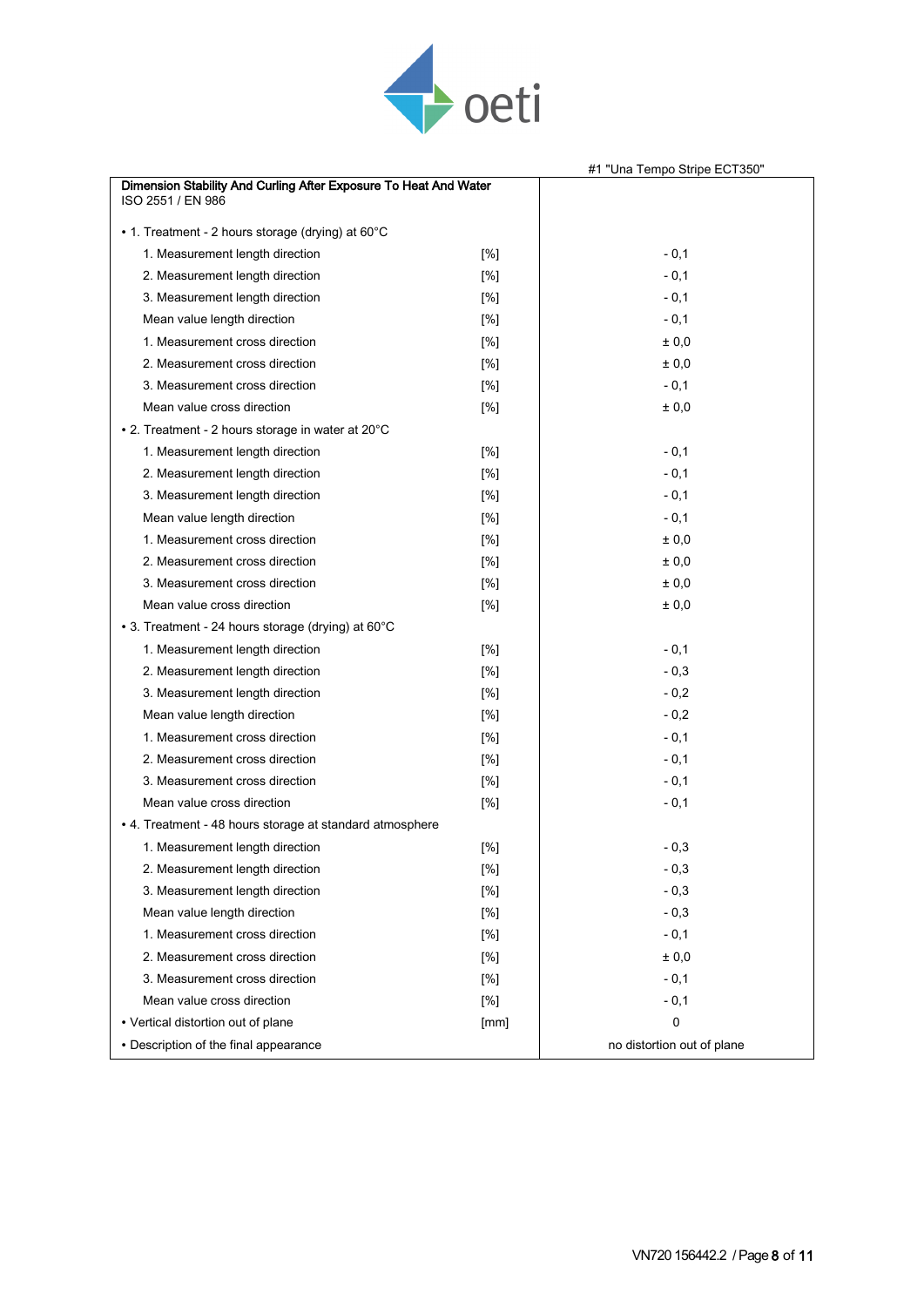

|                                                                                       |        | #1 "Una Tempo Stripe ECT350" |
|---------------------------------------------------------------------------------------|--------|------------------------------|
| Dimension Stability And Curling After Exposure To Heat And Water<br>ISO 2551 / EN 986 |        |                              |
| • 1. Treatment - 2 hours storage (drying) at $60^{\circ}$ C                           |        |                              |
| 1. Measurement length direction                                                       | $[\%]$ | $-0,1$                       |
| 2. Measurement length direction                                                       | [%]    | $-0,1$                       |
| 3. Measurement length direction                                                       | [%]    | $-0,1$                       |
| Mean value length direction                                                           | [%]    | $-0,1$                       |
| 1. Measurement cross direction                                                        | [%]    | ± 0,0                        |
| 2. Measurement cross direction                                                        | [%]    | ± 0,0                        |
| 3. Measurement cross direction                                                        | [%]    | $-0,1$                       |
| Mean value cross direction                                                            | [%]    | ± 0,0                        |
| • 2. Treatment - 2 hours storage in water at 20°C                                     |        |                              |
| 1. Measurement length direction                                                       | [%]    | $-0,1$                       |
| 2. Measurement length direction                                                       | [%]    | $-0,1$                       |
| 3. Measurement length direction                                                       | [%]    | $-0,1$                       |
| Mean value length direction                                                           | [%]    | $-0,1$                       |
| 1. Measurement cross direction                                                        | [%]    | ± 0,0                        |
| 2. Measurement cross direction                                                        | [%]    | ± 0,0                        |
| 3. Measurement cross direction                                                        | [%]    | ± 0,0                        |
| Mean value cross direction                                                            | [%]    | ± 0,0                        |
| • 3. Treatment - 24 hours storage (drying) at 60°C                                    |        |                              |
| 1. Measurement length direction                                                       | [%]    | $-0,1$                       |
| 2. Measurement length direction                                                       | [%]    | $-0,3$                       |
| 3. Measurement length direction                                                       | [%]    | $-0,2$                       |
| Mean value length direction                                                           | [%]    | $-0,2$                       |
| 1. Measurement cross direction                                                        | [%]    | $-0,1$                       |
| 2. Measurement cross direction                                                        | [%]    | $-0,1$                       |
| 3. Measurement cross direction                                                        | [%]    | $-0,1$                       |
| Mean value cross direction                                                            | [%]    | $-0,1$                       |
| • 4. Treatment - 48 hours storage at standard atmosphere                              |        |                              |
| 1. Measurement length direction                                                       | [%]    | $-0,3$                       |
| 2. Measurement length direction                                                       | [%]    | $-0,3$                       |
| 3. Measurement length direction                                                       | [%]    | $-0,3$                       |
| Mean value length direction                                                           | [%]    | $-0,3$                       |
| 1. Measurement cross direction                                                        | [%]    | $-0,1$                       |
| 2. Measurement cross direction                                                        | [%]    | $\pm$ 0,0                    |
| 3. Measurement cross direction                                                        | [%]    | $-0,1$                       |
| Mean value cross direction                                                            | $[\%]$ | $-0,1$                       |
| • Vertical distortion out of plane                                                    | [mm]   | 0                            |
| • Description of the final appearance                                                 |        | no distortion out of plane   |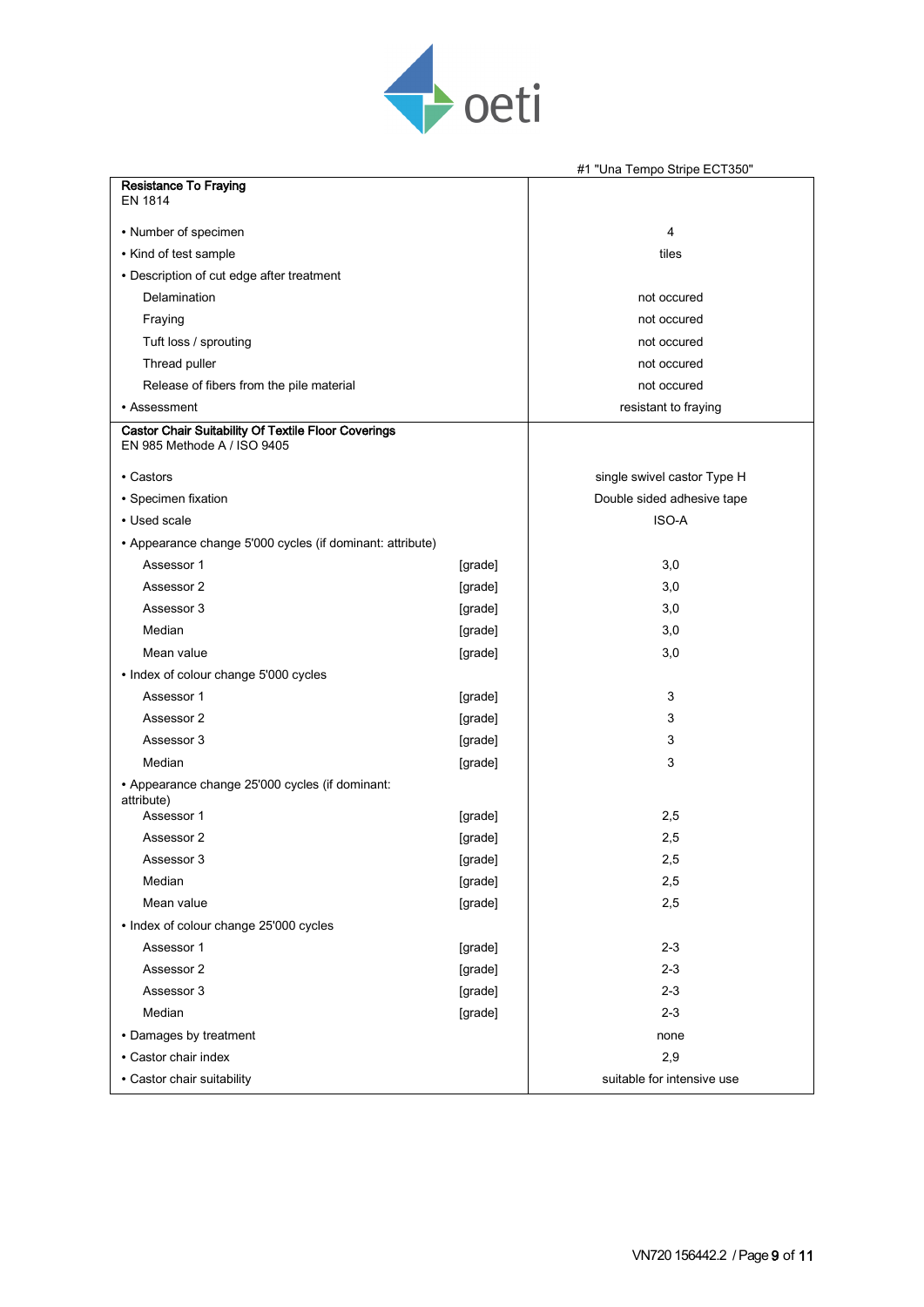

|                                                                                    |         | #1 "Una Tempo Stripe ECT350" |
|------------------------------------------------------------------------------------|---------|------------------------------|
| <b>Resistance To Fraying</b><br><b>EN 1814</b>                                     |         |                              |
| • Number of specimen                                                               |         | 4                            |
| • Kind of test sample                                                              |         | tiles                        |
| • Description of cut edge after treatment                                          |         |                              |
| Delamination                                                                       |         | not occured                  |
| Fraying                                                                            |         | not occured                  |
| Tuft loss / sprouting                                                              |         | not occured                  |
| Thread puller                                                                      |         | not occured                  |
| Release of fibers from the pile material                                           |         | not occured                  |
| • Assessment                                                                       |         | resistant to fraying         |
| Castor Chair Suitability Of Textile Floor Coverings<br>EN 985 Methode A / ISO 9405 |         |                              |
| • Castors                                                                          |         | single swivel castor Type H  |
| • Specimen fixation                                                                |         | Double sided adhesive tape   |
| • Used scale                                                                       |         | ISO-A                        |
| • Appearance change 5'000 cycles (if dominant: attribute)                          |         |                              |
| Assessor 1                                                                         | [grade] | 3,0                          |
| Assessor 2                                                                         | [grade] | 3,0                          |
| Assessor 3                                                                         | [grade] | 3,0                          |
| Median                                                                             | [grade] | 3,0                          |
| Mean value                                                                         | [grade] | 3,0                          |
| • Index of colour change 5'000 cycles                                              |         |                              |
| Assessor 1                                                                         | [grade] | 3                            |
| Assessor 2                                                                         | [grade] | 3                            |
| Assessor 3                                                                         | [grade] | 3                            |
| Median                                                                             | [grade] | 3                            |
| • Appearance change 25'000 cycles (if dominant:<br>attribute)                      |         |                              |
| Assessor 1                                                                         | [grade] | 2,5                          |
| Assessor 2                                                                         | [grade] | 2,5                          |
| Assessor 3                                                                         | [grade] | 2,5                          |
| Median                                                                             | [grade] | 2,5                          |
| Mean value                                                                         | [grade] | 2,5                          |
| • Index of colour change 25'000 cycles                                             |         |                              |
| Assessor 1                                                                         | [grade] | $2 - 3$                      |
| Assessor 2                                                                         | [grade] | $2 - 3$                      |
| Assessor 3                                                                         | [grade] | $2 - 3$                      |
| Median                                                                             | [grade] | $2 - 3$                      |
| • Damages by treatment                                                             |         | none                         |
| • Castor chair index                                                               |         | 2,9                          |
| • Castor chair suitability                                                         |         | suitable for intensive use   |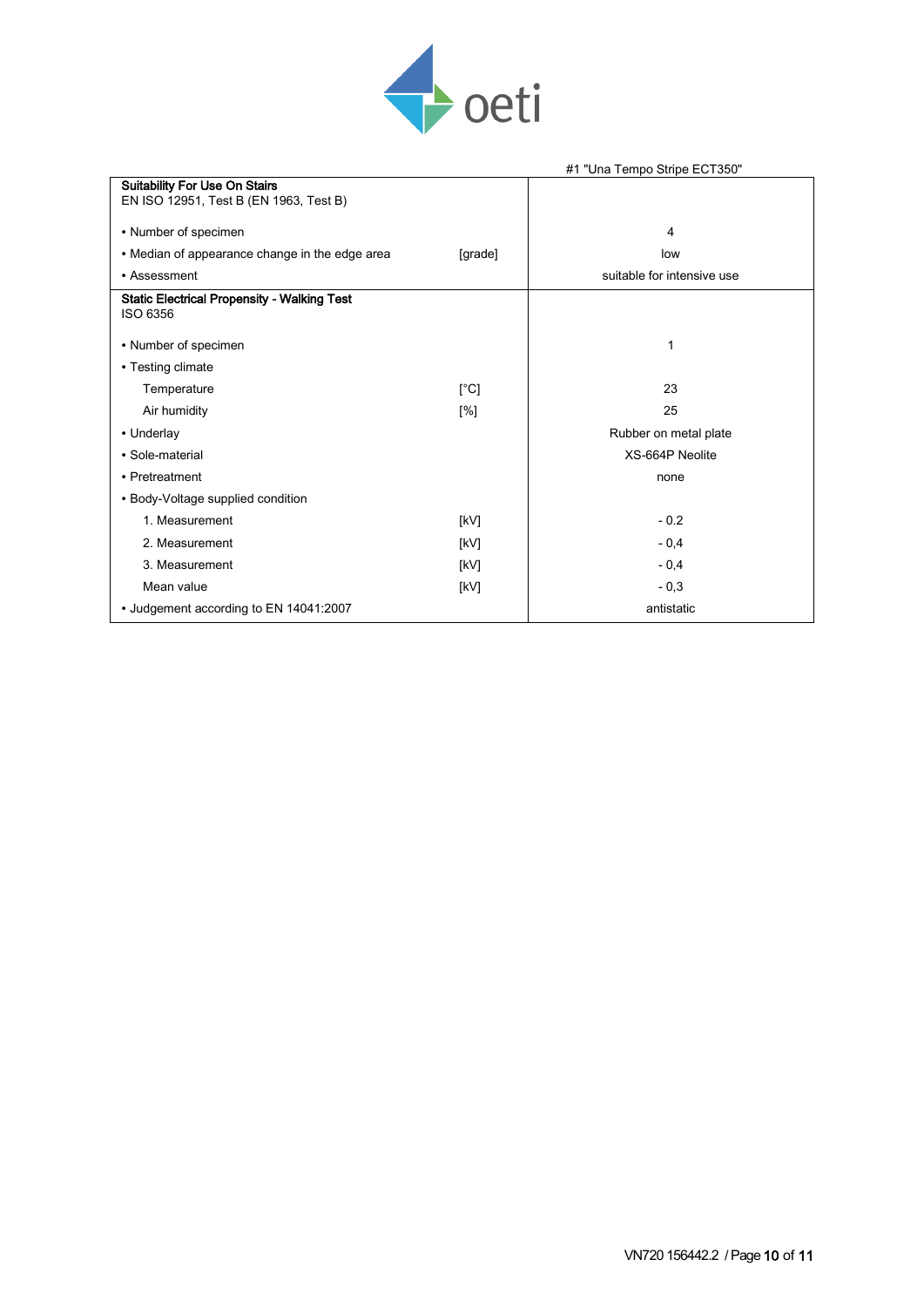

|                                                    |         | #1 "Una Tempo Stripe ECT350" |
|----------------------------------------------------|---------|------------------------------|
| <b>Suitability For Use On Stairs</b>               |         |                              |
| EN ISO 12951, Test B (EN 1963, Test B)             |         |                              |
| • Number of specimen                               |         | 4                            |
| • Median of appearance change in the edge area     | [grade] | low                          |
| • Assessment                                       |         | suitable for intensive use   |
| <b>Static Electrical Propensity - Walking Test</b> |         |                              |
| ISO 6356                                           |         |                              |
| • Number of specimen                               |         | 1                            |
| • Testing climate                                  |         |                              |
| Temperature                                        | [°C]    | 23                           |
| Air humidity                                       | [%]     | 25                           |
| • Underlay                                         |         | Rubber on metal plate        |
| • Sole-material                                    |         | XS-664P Neolite              |
| • Pretreatment                                     |         | none                         |
| • Body-Voltage supplied condition                  |         |                              |
| 1. Measurement                                     | [kV]    | $-0.2$                       |
| 2. Measurement                                     | [kV]    | $-0,4$                       |
| 3. Measurement                                     | [kV]    | $-0.4$                       |
| Mean value                                         | [kV]    | $-0,3$                       |
| • Judgement according to EN 14041:2007             |         | antistatic                   |